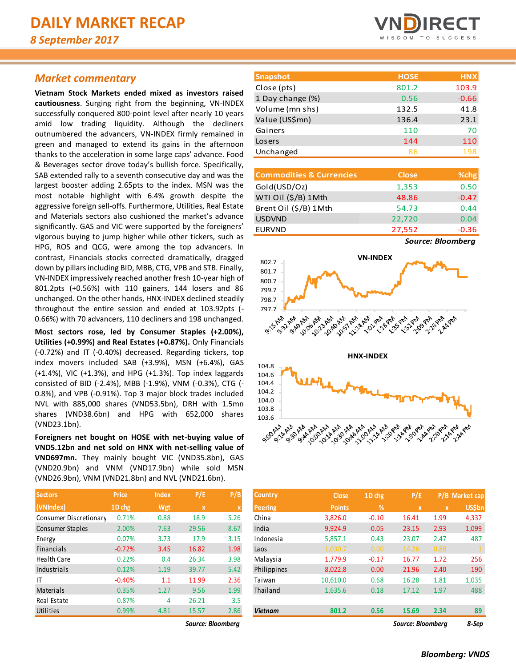## *Market commentary*

**Vietnam Stock Markets ended mixed as investors raised cautiousness**. Surging right from the beginning, VN-INDEX successfully conquered 800-point level after nearly 10 years amid low trading liquidity. Although the decliners outnumbered the advancers, VN-INDEX firmly remained in green and managed to extend its gains in the afternoon thanks to the acceleration in some large caps' advance. Food & Beverages sector drove today's bullish force. Specifically, SAB extended rally to a seventh consecutive day and was the largest booster adding 2.65pts to the index. MSN was the most notable highlight with 6.4% growth despite the aggressive foreign sell-offs. Furthermore, Utilities, Real Estate and Materials sectors also cushioned the market's advance significantly. GAS and VIC were supported by the foreigners' vigorous buying to jump higher while other tickers, such as HPG, ROS and QCG, were among the top advancers. In contrast, Financials stocks corrected dramatically, dragged down by pillars including BID, MBB, CTG, VPB and STB. Finally, VN-INDEX impressively reached another fresh 10-year high of 801.2pts (+0.56%) with 110 gainers, 144 losers and 86 unchanged. On the other hands, HNX-INDEX declined steadily throughout the entire session and ended at 103.92pts (- 0.66%) with 70 advancers, 110 decliners and 198 unchanged.

**Most sectors rose, led by Consumer Staples (+2.00%), Utilities (+0.99%) and Real Estates (+0.87%).** Only Financials (-0.72%) and IT (-0.40%) decreased. Regarding tickers, top index movers included SAB (+3.9%), MSN (+6.4%), GAS (+1.4%), VIC (+1.3%), and HPG (+1.3%). Top index laggards consisted of BID (-2.4%), MBB (-1.9%), VNM (-0.3%), CTG (- 0.8%), and VPB (-0.91%). Top 3 major block trades included NVL with 885,000 shares (VND53.5bn), DRH with 1.5mn shares (VND38.6bn) and HPG with 652,000 shares (VND23.1bn).

**Foreigners net bought on HOSE with net-buying value of VND5.12bn and net sold on HNX with net-selling value of VND697mn.** They mainly bought VIC (VND35.8bn), GAS (VND20.9bn) and VNM (VND17.9bn) while sold MSN (VND26.9bn), VNM (VND21.8bn) and NVL (VND21.6bn).

| <b>Sectors</b>          | <b>Price</b> | <b>Index</b> | P/E         | P/B  |
|-------------------------|--------------|--------------|-------------|------|
| (VNIndex)               | 1D chg       | Wgt          | $\mathbf x$ | X    |
| Consumer Discretionary  | 0.71%        | 0.88         | 18.9        | 5.26 |
| <b>Consumer Staples</b> | 2.00%        | 7.63         | 29.56       | 8.67 |
| Energy                  | 0.07%        | 3.73         | 17.9        | 3.15 |
| <b>Financials</b>       | $-0.72%$     | 3.45         | 16.82       | 1.98 |
| <b>Health Care</b>      | 0.22%        | 0.4          | 26.34       | 3.98 |
| Industrials             | 0.12%        | 1.19         | 39.77       | 5.42 |
| ΙT                      | $-0.40%$     | 1.1          | 11.99       | 2.36 |
| Materials               | 0.35%        | 1.27         | 9.56        | 1.99 |
| Real Estate             | 0.87%        | 4            | 26.21       | 3.5  |
| Utilities               | 0.99%        | 4.81         | 15.57       | 2.86 |



| <b>Snapshot</b>  | <b>HOSE</b> | <b>HNX</b> |
|------------------|-------------|------------|
| Close (pts)      | 801.2       | 103.9      |
| 1 Day change (%) | 0.56        | $-0.66$    |
| Volume (mn shs)  | 132.5       | 41.8       |
| Value (US\$mn)   | 136.4       | 23.1       |
| Gainers          | 110         | 70         |
| Losers           | 144         | 110        |
| Unchanged        | 86          | 198        |

| <b>Commodities &amp; Currencies</b> | <b>Close</b> | %chg                                      |
|-------------------------------------|--------------|-------------------------------------------|
| Gold(USD/Oz)                        | 1,353        | 0.50                                      |
| WTI Oil (\$/B) 1Mth                 | 48.86        | $-0.47$                                   |
| Brent Oil (\$/B) 1Mth               | 54.73        | 0.44                                      |
| <b>USDVND</b>                       | 22,720       | 0.04                                      |
| <b>EURVND</b>                       | 27,552       | $-0.36$                                   |
|                                     |              | $\sim$ $\sim$ $\sim$ $\sim$ $\sim$ $\sim$ |

*Source: Bloomberg*



| <b>Sectors</b>         | <b>Price</b> | <b>Index</b> | P/E               | P/B  | Country        | <b>Close</b>  | 1D chg  | P/E               |             | P/B Market cap |
|------------------------|--------------|--------------|-------------------|------|----------------|---------------|---------|-------------------|-------------|----------------|
| (VNIndex)              | 1D chg       | Wgt          | $\mathbf{x}$      |      | Peering        | <b>Points</b> | %       | $\mathbf{x}$      | $\mathbf x$ | <b>US\$bn</b>  |
| Consumer Discretionary | 0.71%        | 0.88         | 18.9              | 5.26 | China          | 3,826.0       | $-0.10$ | 16.41             | 1.99        | 4,337          |
| Consumer Staples       | 2.00%        | 7.63         | 29.56             | 8.67 | India          | 9,924.9       | $-0.05$ | 23.15             | 2.93        | 1,099          |
| Energy                 | 0.07%        | 3.73         | 17.9              | 3.15 | Indonesia      | 5,857.1       | 0.43    | 23.07             | 2.47        | 487            |
| Financials             | $-0.72%$     | 3.45         | 16.82             | 1.98 | Laos           | 1,030.7       | 0.00    | 14.26             | 0.88        |                |
| Health Care            | 0.22%        | 0.4          | 26.34             | 3.98 | Malaysia       | 1,779.9       | $-0.17$ | 16.77             | 1.72        | 256            |
| Industrials            | 0.12%        | 1.19         | 39.77             | 5.42 | Philippines    | 8,022.8       | 0.00    | 21.96             | 2.40        | 190            |
| ΙT                     | $-0.40%$     | 1.1          | 11.99             | 2.36 | Taiwan         | 10.610.0      | 0.68    | 16.28             | 1.81        | 1,035          |
| Materials              | 0.35%        | 1.27         | 9.56              | 1.99 | Thailand       | 1,635.6       | 0.18    | 17.12             | 1.97        | 488            |
| Real Estate            | 0.87%        | 4            | 26.21             | 3.5  |                |               |         |                   |             |                |
| Utilities              | 0.99%        | 4.81         | 15.57             | 2.86 | <b>Vietnam</b> | 801.2         | 0.56    | 15.69             | 2.34        | 89             |
|                        |              |              | Source: Bloomberg |      |                |               |         | Source: Bloombera |             | 8-Sep          |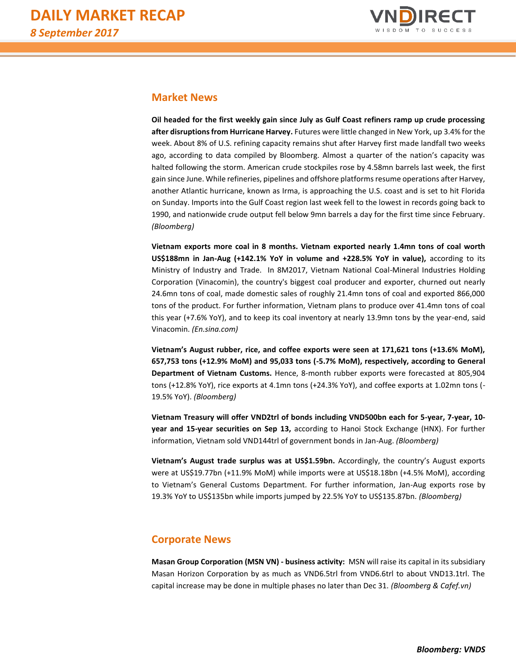

# **Market News**

**Oil headed for the first weekly gain since July as Gulf Coast refiners ramp up crude processing after disruptions from Hurricane Harvey.** Futures were little changed in New York, up 3.4% for the week. About 8% of U.S. refining capacity remains shut after Harvey first made landfall two weeks ago, according to data compiled by Bloomberg. Almost a quarter of the nation's capacity was halted following the storm. American crude stockpiles rose by 4.58mn barrels last week, the first gain since June. While refineries, pipelines and offshore platforms resume operations after Harvey, another Atlantic hurricane, known as Irma, is approaching the U.S. coast and is set to hit Florida on Sunday. Imports into the Gulf Coast region last week fell to the lowest in records going back to 1990, and nationwide crude output fell below 9mn barrels a day for the first time since February*. (Bloomberg)*

**Vietnam exports more coal in 8 months. Vietnam exported nearly 1.4mn tons of coal worth US\$188mn in Jan-Aug (+142.1% YoY in volume and +228.5% YoY in value),** according to its Ministry of Industry and Trade. In 8M2017, Vietnam National Coal-Mineral Industries Holding Corporation (Vinacomin), the country's biggest coal producer and exporter, churned out nearly 24.6mn tons of coal, made domestic sales of roughly 21.4mn tons of coal and exported 866,000 tons of the product. For further information, Vietnam plans to produce over 41.4mn tons of coal this year (+7.6% YoY), and to keep its coal inventory at nearly 13.9mn tons by the year-end, said Vinacomin. *(En.sina.com)*

**Vietnam's August rubber, rice, and coffee exports were seen at 171,621 tons (+13.6% MoM), 657,753 tons (+12.9% MoM) and 95,033 tons (-5.7% MoM), respectively, according to General Department of Vietnam Customs.** Hence, 8-month rubber exports were forecasted at 805,904 tons (+12.8% YoY), rice exports at 4.1mn tons (+24.3% YoY), and coffee exports at 1.02mn tons (- 19.5% YoY). *(Bloomberg)*

**Vietnam Treasury will offer VND2trl of bonds including VND500bn each for 5-year, 7-year, 10 year and 15-year securities on Sep 13,** according to Hanoi Stock Exchange (HNX). For further information, Vietnam sold VND144trl of government bonds in Jan-Aug. *(Bloomberg)*

**Vietnam's August trade surplus was at US\$1.59bn.** Accordingly, the country's August exports were at US\$19.77bn (+11.9% MoM) while imports were at US\$18.18bn (+4.5% MoM), according to Vietnam's General Customs Department. For further information, Jan-Aug exports rose by 19.3% YoY to US\$135bn while imports jumped by 22.5% YoY to US\$135.87bn*. (Bloomberg)*

# **Corporate News**

**Masan Group Corporation (MSN VN) - business activity:** MSN will raise its capital in its subsidiary Masan Horizon Corporation by as much as VND6.5trl from VND6.6trl to about VND13.1trl. The capital increase may be done in multiple phases no later than Dec 31. *(Bloomberg & Cafef.vn)*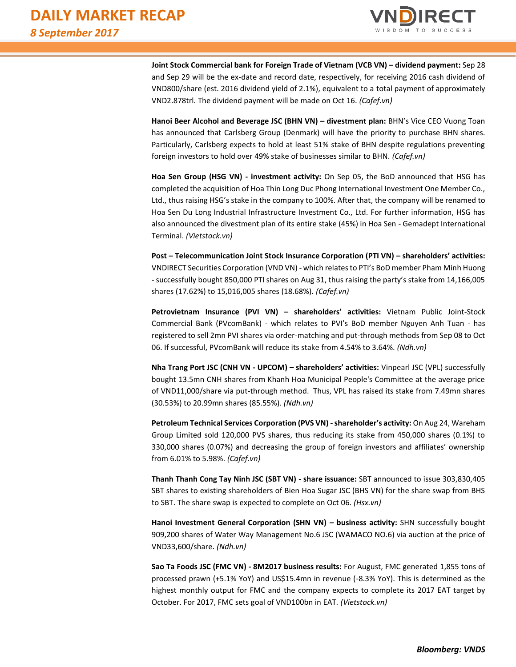

**Joint Stock Commercial bank for Foreign Trade of Vietnam (VCB VN) – dividend payment:** Sep 28 and Sep 29 will be the ex-date and record date, respectively, for receiving 2016 cash dividend of VND800/share (est. 2016 dividend yield of 2.1%), equivalent to a total payment of approximately VND2.878trl. The dividend payment will be made on Oct 16. *(Cafef.vn)*

**Hanoi Beer Alcohol and Beverage JSC (BHN VN) – divestment plan:** BHN's Vice CEO Vuong Toan has announced that Carlsberg Group (Denmark) will have the priority to purchase BHN shares. Particularly, Carlsberg expects to hold at least 51% stake of BHN despite regulations preventing foreign investors to hold over 49% stake of businesses similar to BHN. *(Cafef.vn)*

**Hoa Sen Group (HSG VN) - investment activity:** On Sep 05, the BoD announced that HSG has completed the acquisition of Hoa Thin Long Duc Phong International Investment One Member Co., Ltd., thus raising HSG's stake in the company to 100%. After that, the company will be renamed to Hoa Sen Du Long Industrial Infrastructure Investment Co., Ltd. For further information, HSG has also announced the divestment plan of its entire stake (45%) in Hoa Sen - Gemadept International Terminal. *(Vietstock.vn)*

**Post – Telecommunication Joint Stock Insurance Corporation (PTI VN) – shareholders' activities:**  VNDIRECT Securities Corporation (VND VN) - which relates to PTI's BoD member Pham Minh Huong - successfully bought 850,000 PTI shares on Aug 31, thus raising the party's stake from 14,166,005 shares (17.62%) to 15,016,005 shares (18.68%). *(Cafef.vn)*

**Petrovietnam Insurance (PVI VN) – shareholders' activities:** Vietnam Public Joint-Stock Commercial Bank (PVcomBank) - which relates to PVI's BoD member Nguyen Anh Tuan - has registered to sell 2mn PVI shares via order-matching and put-through methods from Sep 08 to Oct 06. If successful, PVcomBank will reduce its stake from 4.54% to 3.64%. *(Ndh.vn)*

**Nha Trang Port JSC (CNH VN - UPCOM) – shareholders' activities:** Vinpearl JSC (VPL) successfully bought 13.5mn CNH shares from Khanh Hoa Municipal People's Committee at the average price of VND11,000/share via put-through method. Thus, VPL has raised its stake from 7.49mn shares (30.53%) to 20.99mn shares (85.55%). *(Ndh.vn)*

**Petroleum Technical Services Corporation (PVS VN) -shareholder's activity:** On Aug 24, Wareham Group Limited sold 120,000 PVS shares, thus reducing its stake from 450,000 shares (0.1%) to 330,000 shares (0.07%) and decreasing the group of foreign investors and affiliates' ownership from 6.01% to 5.98%. *(Cafef.vn)*

**Thanh Thanh Cong Tay Ninh JSC (SBT VN) - share issuance:** SBT announced to issue 303,830,405 SBT shares to existing shareholders of Bien Hoa Sugar JSC (BHS VN) for the share swap from BHS to SBT. The share swap is expected to complete on Oct 06*. (Hsx.vn)*

**Hanoi Investment General Corporation (SHN VN) – business activity:** SHN successfully bought 909,200 shares of Water Way Management No.6 JSC (WAMACO NO.6) via auction at the price of VND33,600/share. *(Ndh.vn)*

**Sao Ta Foods JSC (FMC VN) - 8M2017 business results:** For August, FMC generated 1,855 tons of processed prawn (+5.1% YoY) and US\$15.4mn in revenue (-8.3% YoY). This is determined as the highest monthly output for FMC and the company expects to complete its 2017 EAT target by October. For 2017, FMC sets goal of VND100bn in EAT*. (Vietstock.vn)*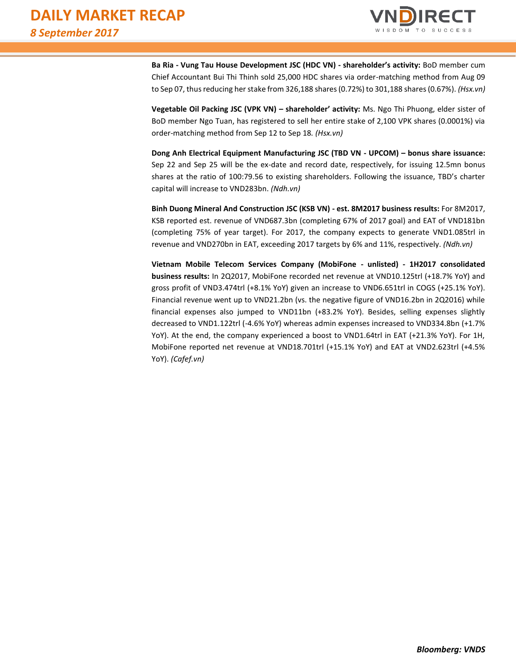

**Ba Ria - Vung Tau House Development JSC (HDC VN) - shareholder's activity:** BoD member cum Chief Accountant Bui Thi Thinh sold 25,000 HDC shares via order-matching method from Aug 09 to Sep 07, thus reducing her stake from 326,188 shares (0.72%) to 301,188 shares (0.67%). *(Hsx.vn)*

**Vegetable Oil Packing JSC (VPK VN) – shareholder' activity:** Ms. Ngo Thi Phuong, elder sister of BoD member Ngo Tuan, has registered to sell her entire stake of 2,100 VPK shares (0.0001%) via order-matching method from Sep 12 to Sep 18*. (Hsx.vn)*

**Dong Anh Electrical Equipment Manufacturing JSC (TBD VN - UPCOM) – bonus share issuance:** Sep 22 and Sep 25 will be the ex-date and record date, respectively, for issuing 12.5mn bonus shares at the ratio of 100:79.56 to existing shareholders. Following the issuance, TBD's charter capital will increase to VND283bn. *(Ndh.vn)*

**Binh Duong Mineral And Construction JSC (KSB VN) - est. 8M2017 business results:** For 8M2017, KSB reported est. revenue of VND687.3bn (completing 67% of 2017 goal) and EAT of VND181bn (completing 75% of year target). For 2017, the company expects to generate VND1.085trl in revenue and VND270bn in EAT, exceeding 2017 targets by 6% and 11%, respectively. *(Ndh.vn)*

**Vietnam Mobile Telecom Services Company (MobiFone - unlisted) - 1H2017 consolidated business results:** In 2Q2017, MobiFone recorded net revenue at VND10.125trl (+18.7% YoY) and gross profit of VND3.474trl (+8.1% YoY) given an increase to VND6.651trl in COGS (+25.1% YoY). Financial revenue went up to VND21.2bn (vs. the negative figure of VND16.2bn in 2Q2016) while financial expenses also jumped to VND11bn (+83.2% YoY). Besides, selling expenses slightly decreased to VND1.122trl (-4.6% YoY) whereas admin expenses increased to VND334.8bn (+1.7% YoY). At the end, the company experienced a boost to VND1.64trl in EAT (+21.3% YoY). For 1H, MobiFone reported net revenue at VND18.701trl (+15.1% YoY) and EAT at VND2.623trl (+4.5% YoY). *(Cafef.vn)*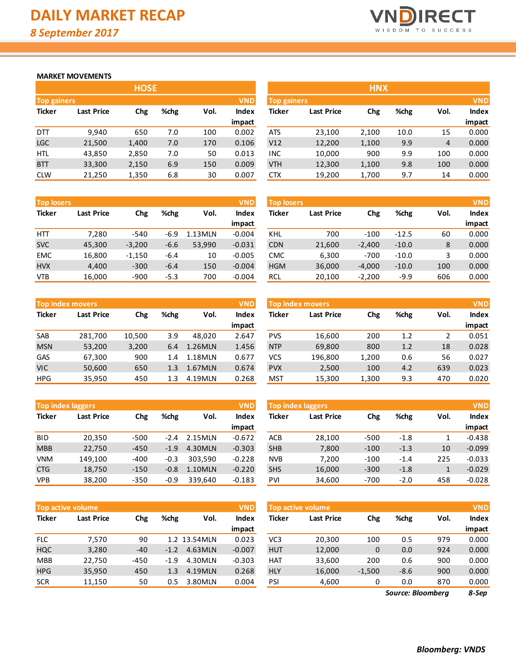

#### **MARKET MOVEMENTS**

|                    | <b>HOSE</b>       |       |      |      |            |  |  |  |  |  |  |  |
|--------------------|-------------------|-------|------|------|------------|--|--|--|--|--|--|--|
| <b>Top gainers</b> |                   |       |      |      | <b>VND</b> |  |  |  |  |  |  |  |
| <b>Ticker</b>      | <b>Last Price</b> | Chg   | %chg | Vol. | Index      |  |  |  |  |  |  |  |
|                    |                   |       |      |      | impact     |  |  |  |  |  |  |  |
| DП                 | 9,940             | 650   | 7.0  | 100  | 0.002      |  |  |  |  |  |  |  |
| <b>LGC</b>         | 21,500            | 1,400 | 7.0  | 170  | 0.106      |  |  |  |  |  |  |  |
| HTL                | 43,850            | 2,850 | 7.0  | 50   | 0.013      |  |  |  |  |  |  |  |
| <b>BTT</b>         | 33,300            | 2,150 | 6.9  | 150  | 0.009      |  |  |  |  |  |  |  |
| <b>CLW</b>         | 21,250            | 1,350 | 6.8  | 30   | 0.007      |  |  |  |  |  |  |  |

| <b>Top losers</b> |                   |          |        |         |          | <b>VND</b><br><b>Top losers</b> |                   |          |         |      | <b>VND</b> |
|-------------------|-------------------|----------|--------|---------|----------|---------------------------------|-------------------|----------|---------|------|------------|
| <b>Ticker</b>     | <b>Last Price</b> | Chg      | %chg   | Vol.    | Index    | Ticker                          | <b>Last Price</b> | Chg      | %chg    | Vol. | Index      |
|                   |                   |          |        |         | impact   |                                 |                   |          |         |      | impact     |
| <b>HTT</b>        | 7,280             | $-540$   | $-6.9$ | 1.13MLN | $-0.004$ | KHL                             | 700               | $-100$   | $-12.5$ | 60   | 0.000      |
| <b>SVC</b>        | 45,300            | $-3.200$ | $-6.6$ | 53,990  | $-0.031$ | <b>CDN</b>                      | 21,600            | $-2.400$ | $-10.0$ | 8    | 0.000      |
| <b>EMC</b>        | 16,800            | $-1,150$ | $-6.4$ | 10      | $-0.005$ | <b>CMC</b>                      | 6,300             | $-700$   | $-10.0$ |      | 0.000      |
| <b>HVX</b>        | 4,400             | $-300$   | $-6.4$ | 150     | $-0.004$ | <b>HGM</b>                      | 36,000            | $-4,000$ | $-10.0$ | 100  | 0.000      |
| <b>VTB</b>        | 16,000            | $-900$   | $-5.3$ | 700     | $-0.004$ | RCL                             | 20,100            | $-2,200$ | $-9.9$  | 606  | 0.000      |

|               | <b>Top index movers</b> |        |      |         | <b>VND</b> |
|---------------|-------------------------|--------|------|---------|------------|
| <b>Ticker</b> | <b>Last Price</b>       | Chg    | %chg | Vol.    | Index      |
|               |                         |        |      |         | impact     |
| <b>SAB</b>    | 281,700                 | 10,500 | 3.9  | 48,020  | 2.647      |
| <b>MSN</b>    | 53,200                  | 3,200  | 6.4  | 1.26MLN | 1.456      |
| GAS           | 67,300                  | 900    | 1.4  | 1.18MLN | 0.677      |
| <b>VIC</b>    | 50,600                  | 650    | 1.3  | 1.67MLN | 0.674      |
| <b>HPG</b>    | 35,950                  | 450    | 1.3  | 4.19MLN | 0.268      |

| <b>Top index laggers</b> |                   |        |        |         | <b>VND</b>   |
|--------------------------|-------------------|--------|--------|---------|--------------|
| <b>Ticker</b>            | <b>Last Price</b> | Chg    | %chg   | Vol.    | <b>Index</b> |
|                          |                   |        |        |         | impact       |
| BID                      | 20,350            | $-500$ | $-2.4$ | 2.15MLN | $-0.672$     |
| <b>MBB</b>               | 22,750            | $-450$ | $-1.9$ | 4.30MLN | $-0.303$     |
| <b>VNM</b>               | 149,100           | $-400$ | $-0.3$ | 303,590 | $-0.228$     |
| <b>CTG</b>               | 18,750            | $-150$ | $-0.8$ | 1.10MLN | $-0.220$     |
| <b>VPB</b>               | 38,200            | $-350$ | $-0.9$ | 339,640 | $-0.183$     |

|               | <b>Top active volume</b> |        |        |              | <b>VND</b>   |
|---------------|--------------------------|--------|--------|--------------|--------------|
| <b>Ticker</b> | <b>Last Price</b>        | Chg    | %chg   | Vol.         | <b>Index</b> |
|               |                          |        |        |              | impact       |
| <b>FLC</b>    | 7,570                    | 90     |        | 1.2 13.54MLN | 0.023        |
| <b>HQC</b>    | 3,280                    | $-40$  | $-1.2$ | 4.63MLN      | $-0.007$     |
| <b>MBB</b>    | 22,750                   | $-450$ | $-1.9$ | 4.30MLN      | $-0.303$     |
| <b>HPG</b>    | 35,950                   | 450    | 1.3    | 4.19MLN      | 0.268        |
| <b>SCR</b>    | 11,150                   | 50     | 0.5    | 3.80MLN      | 0.004        |

|                                  | <b>HOSE</b>       |       |      |      |        |                    |                   | <b>HNX</b> |      |      |              |
|----------------------------------|-------------------|-------|------|------|--------|--------------------|-------------------|------------|------|------|--------------|
| <b>VND</b><br><b>Top gainers</b> |                   |       |      |      |        | <b>Top gainers</b> |                   |            |      |      |              |
| Ticker                           | <b>Last Price</b> | Chg   | %chg | Vol. | Index  | <b>Ticker</b>      | <b>Last Price</b> | Chg        | %chg | Vol. | <b>Index</b> |
|                                  |                   |       |      |      | impact |                    |                   |            |      |      | impact       |
| DTT                              | 9,940             | 650   | 7.0  | 100  | 0.002  | <b>ATS</b>         | 23,100            | 2,100      | 10.0 | 15   | 0.000        |
| LGC                              | 21,500            | 1,400 | 7.0  | 170  | 0.106  | V12                | 12,200            | 1,100      | 9.9  | 4    | 0.000        |
| <b>HTL</b>                       | 43,850            | 2,850 | 7.0  | 50   | 0.013  | <b>INC</b>         | 10,000            | 900        | 9.9  | 100  | 0.000        |
| <b>BTT</b>                       | 33,300            | 2,150 | 6.9  | 150  | 0.009  | <b>VTH</b>         | 12,300            | 1,100      | 9.8  | 100  | 0.000        |
| CLW                              | 21,250            | 1,350 | 6.8  | 30   | 0.007  | <b>CTX</b>         | 19,200            | 1,700      | 9.7  | 14   | 0.000        |

| <b>Top losers</b> |                   |          |         |      | <b>VND</b>   |
|-------------------|-------------------|----------|---------|------|--------------|
| <b>Ticker</b>     | <b>Last Price</b> | Chg      | %chg    | Vol. | <b>Index</b> |
|                   |                   |          |         |      | impact       |
| KHL               | 700               | $-100$   | $-12.5$ | 60   | 0.000        |
| <b>CDN</b>        | 21,600            | $-2,400$ | $-10.0$ | 8    | 0.000        |
| <b>CMC</b>        | 6,300             | $-700$   | $-10.0$ | 3    | 0.000        |
| <b>HGM</b>        | 36,000            | $-4,000$ | $-10.0$ | 100  | 0.000        |
| <b>RCL</b>        | 20,100            | $-2,200$ | $-9.9$  | 606  | 0.000        |

|            | <b>VND</b><br><b>Top index movers</b> |        |      |         |        | <b>Top index movers</b> |                   |       |      |      |              |
|------------|---------------------------------------|--------|------|---------|--------|-------------------------|-------------------|-------|------|------|--------------|
| Ticker     | <b>Last Price</b>                     | Chg    | %chg | Vol.    | Index  | Ticker                  | <b>Last Price</b> | Chg   | %chg | Vol. | <b>Index</b> |
|            |                                       |        |      |         | impact |                         |                   |       |      |      | impact       |
| SAB        | 281,700                               | 10,500 | 3.9  | 48.020  | 2.647  | <b>PVS</b>              | 16,600            | 200   | 1.2  | 2    | 0.051        |
| <b>MSN</b> | 53,200                                | 3,200  | 6.4  | 1.26MLN | 1.456  | <b>NTP</b>              | 69,800            | 800   | 1.2  | 18   | 0.028        |
| GAS        | 67,300                                | 900    | 1.4  | 1.18MLN | 0.677  | VCS                     | 196,800           | 1,200 | 0.6  | 56   | 0.027        |
| VIC        | 50,600                                | 650    | 1.3  | 1.67MLN | 0.674  | <b>PVX</b>              | 2,500             | 100   | 4.2  | 639  | 0.023        |
| <b>HPG</b> | 35,950                                | 450    | 1.3  | 4.19MLN | 0.268  | MST                     | 15,300            | 1,300 | 9.3  | 470  | 0.020        |

|            | <b>Top index laggers</b><br><b>VND</b> |        |        |         |          |               | <b>Top index laggers</b> |        |        |      |          |  |  |
|------------|----------------------------------------|--------|--------|---------|----------|---------------|--------------------------|--------|--------|------|----------|--|--|
| Ticker     | <b>Last Price</b>                      | Chg    | %chg   | Vol.    | Index    | <b>Ticker</b> | <b>Last Price</b>        | Chg    | %chg   | Vol. | Index    |  |  |
|            |                                        |        |        |         | impact   |               |                          |        |        |      | impact   |  |  |
| BID        | 20,350                                 | $-500$ | $-2.4$ | 2.15MLN | $-0.672$ | <b>ACB</b>    | 28,100                   | $-500$ | $-1.8$ |      | $-0.438$ |  |  |
| <b>MBB</b> | 22,750                                 | $-450$ | $-1.9$ | 4.30MLN | $-0.303$ | <b>SHB</b>    | 7,800                    | $-100$ | $-1.3$ | 10   | $-0.099$ |  |  |
| VNM        | 149.100                                | $-400$ | $-0.3$ | 303.590 | $-0.228$ | <b>NVB</b>    | 7.200                    | $-100$ | $-1.4$ | 225  | $-0.033$ |  |  |
| <b>CTG</b> | 18,750                                 | $-150$ | $-0.8$ | 1.10MLN | $-0.220$ | <b>SHS</b>    | 16,000                   | $-300$ | $-1.8$ |      | $-0.029$ |  |  |
| VPB        | 38,200                                 | $-350$ | $-0.9$ | 339,640 | $-0.183$ | PVI           | 34,600                   | $-700$ | $-2.0$ | 458  | $-0.028$ |  |  |

|            | <b>Top active volume</b> |        |        |              | <b>VND</b> | Top active volume |                   |          |        |      |        |
|------------|--------------------------|--------|--------|--------------|------------|-------------------|-------------------|----------|--------|------|--------|
| Ticker     | <b>Last Price</b>        | Chg    | %chg   | Vol.         | Index      | <b>Ticker</b>     | <b>Last Price</b> | Chg      | %chg   | Vol. | Index  |
|            |                          |        |        |              | impact     |                   |                   |          |        |      | impact |
| <b>FLC</b> | 7,570                    | 90     |        | 1.2 13.54MLN | 0.023      | VC <sub>3</sub>   | 20,300            | 100      | 0.5    | 979  | 0.000  |
| HQC        | 3,280                    | $-40$  | $-1.2$ | 4.63MLN      | $-0.007$   | <b>HUT</b>        | 12,000            | 0        | 0.0    | 924  | 0.000  |
| MBB        | 22.750                   | $-450$ | $-1.9$ | 4.30MLN      | $-0.303$   | <b>HAT</b>        | 33,600            | 200      | 0.6    | 900  | 0.000  |
| <b>HPG</b> | 35,950                   | 450    | 1.3    | 4.19MLN      | 0.268      | <b>HLY</b>        | 16,000            | $-1,500$ | $-8.6$ | 900  | 0.000  |
| <b>SCR</b> | 11,150                   | 50     | 0.5    | 3.80MLN      | 0.004      | PSI               | 4,600             |          | 0.0    | 870  | 0.000  |

*8-Sep Source: Bloomberg*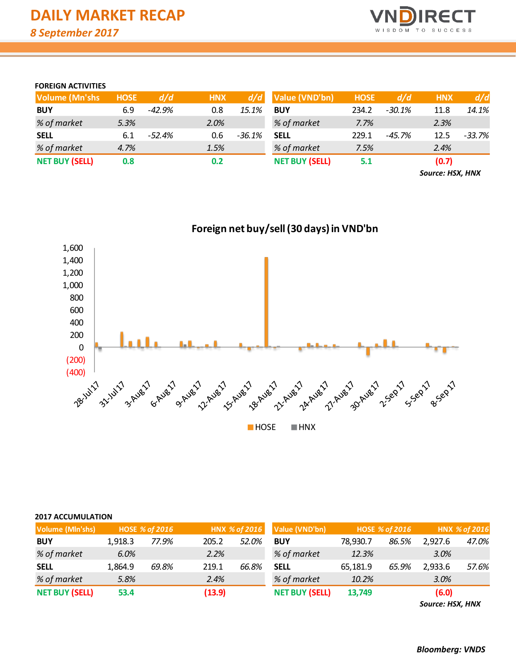

### **FOREIGN ACTIVITIES**

| <b>Volume (Mn'shs)</b> | <b>HOSE</b> | d/d      | <b>HNX</b> | d/d      | Value (VND'bn)        | <b>HOSE</b> | d/d      | <b>HNX</b> | d/d    |
|------------------------|-------------|----------|------------|----------|-----------------------|-------------|----------|------------|--------|
| <b>BUY</b>             | 6.9         | $-42.9%$ | 0.8        | 15.1%    | <b>BUY</b>            | 234.2       | $-30.1%$ | 11.8       | 14.1%  |
| % of market            | 5.3%        |          | 2.0%       |          | % of market           | 7.7%        |          | 2.3%       |        |
| <b>SELL</b>            | 6.1         | -52.4%   | 0.6        | $-36.1%$ | <b>SELL</b>           | 229.1       | -45.7%   | 12.5       | -33.7% |
| % of market            | 4.7%        |          | 1.5%       |          | % of market           | 7.5%        |          | 2.4%       |        |
| <b>NET BUY (SELL)</b>  | 0.8         |          | 0.2        |          | <b>NET BUY (SELL)</b> | 5.1         |          | (0.7)      |        |

*Source: HSX, HNX*



# **Foreign net buy/sell (30 days) in VND'bn**

#### **2017 ACCUMULATION**

| Volume (Mln'shs)      |         | <b>HOSE % of 2016</b> |        | HNX % of 2016 | Value (VND'bn)        |          | <b>HOSE % of 2016</b> |         | HNX % of 2016 |
|-----------------------|---------|-----------------------|--------|---------------|-----------------------|----------|-----------------------|---------|---------------|
| <b>BUY</b>            | 1.918.3 | 77.9%                 | 205.2  | 52.0%         | <b>BUY</b>            | 78.930.7 | 86.5%                 | 2.927.6 | 47.0%         |
| % of market           | 6.0%    |                       | 2.2%   |               | % of market           | 12.3%    |                       | 3.0%    |               |
| <b>SELL</b>           | 1.864.9 | 69.8%                 | 219.1  | 66.8%         | <b>SELL</b>           | 65,181.9 | 65.9%                 | 2.933.6 | 57.6%         |
| % of market           | 5.8%    |                       | 2.4%   |               | % of market           | 10.2%    |                       | 3.0%    |               |
| <b>NET BUY (SELL)</b> | 53.4    |                       | (13.9) |               | <b>NET BUY (SELL)</b> | 13,749   |                       | (6.0)   |               |

*Source: HSX, HNX*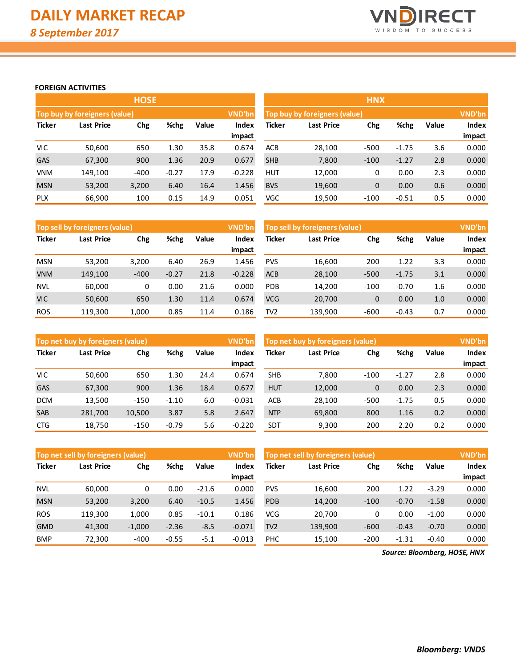

#### **FOREIGN ACTIVITIES**

|               |                               | <b>HOSE</b> |         |       |          | <b>HNX</b>                    |                   |        |         |       |              |
|---------------|-------------------------------|-------------|---------|-------|----------|-------------------------------|-------------------|--------|---------|-------|--------------|
|               | Top buy by foreigners (value) |             |         |       | VND'bn   | Top buy by foreigners (value) | <b>VND'bn</b>     |        |         |       |              |
| <b>Ticker</b> | Last Price                    | Chg         | %chg    | Value | Index    | Ticker                        | <b>Last Price</b> | Chg    | %chg    | Value | <b>Index</b> |
|               |                               |             |         |       | impact   |                               |                   |        |         |       | impact       |
| <b>VIC</b>    | 50,600                        | 650         | 1.30    | 35.8  | 0.674    | <b>ACB</b>                    | 28,100            | $-500$ | $-1.75$ | 3.6   | 0.000        |
| <b>GAS</b>    | 67,300                        | 900         | 1.36    | 20.9  | 0.677    | <b>SHB</b>                    | 7,800             | $-100$ | $-1.27$ | 2.8   | 0.000        |
| <b>VNM</b>    | 149.100                       | $-400$      | $-0.27$ | 17.9  | $-0.228$ | <b>HUT</b>                    | 12,000            | 0      | 0.00    | 2.3   | 0.000        |
| <b>MSN</b>    | 53,200                        | 3,200       | 6.40    | 16.4  | 1.456    | <b>BVS</b>                    | 19,600            | 0      | 0.00    | 0.6   | 0.000        |
| <b>PLX</b>    | 66,900                        | 100         | 0.15    | 14.9  | 0.051    | VGC                           | 19,500            | $-100$ | $-0.51$ | 0.5   | 0.000        |

|               | Top sell by foreigners (value) |        |         |       | VND'bn   | Top sell by foreigners (value) | VND'bn  |        |         |       |              |
|---------------|--------------------------------|--------|---------|-------|----------|--------------------------------|---------|--------|---------|-------|--------------|
| <b>Ticker</b> | Last Price<br>Chg              |        | %chg    | Value | Index    | Ticker<br>Last Price           |         |        | %chg    | Value | <b>Index</b> |
|               |                                |        |         |       | impact   |                                |         |        |         |       | impact       |
| <b>MSN</b>    | 53,200                         | 3,200  | 6.40    | 26.9  | 1.456    | <b>PVS</b>                     | 16,600  | 200    | 1.22    | 3.3   | 0.000        |
| <b>VNM</b>    | 149,100                        | $-400$ | $-0.27$ | 21.8  | $-0.228$ | <b>ACB</b>                     | 28,100  | $-500$ | $-1.75$ | 3.1   | 0.000        |
| <b>NVL</b>    | 60,000                         | 0      | 0.00    | 21.6  | 0.000    | <b>PDB</b>                     | 14,200  | $-100$ | $-0.70$ | 1.6   | 0.000        |
| <b>VIC</b>    | 50,600                         | 650    | 1.30    | 11.4  | 0.674    | <b>VCG</b>                     | 20,700  | 0      | 0.00    | 1.0   | 0.000        |
| <b>ROS</b>    | 119,300                        | 1,000  | 0.85    | 11.4  | 0.186    | TV2                            | 139,900 | $-600$ | $-0.43$ | 0.7   | 0.000        |

|               | Top net buy by foreigners (value) |        |         |       | <b>VND'bn</b> | Top net buy by foreigners (value) |        | VND'bn       |         |              |        |
|---------------|-----------------------------------|--------|---------|-------|---------------|-----------------------------------|--------|--------------|---------|--------------|--------|
| <b>Ticker</b> | %chg<br>Chg<br>Last Price         |        | Value   | Index | Ticker        | Chg<br><b>Last Price</b>          |        |              | Value   | <b>Index</b> |        |
|               |                                   |        |         |       | impact        |                                   |        |              |         |              | impact |
| VIC           | 50,600                            | 650    | 1.30    | 24.4  | 0.674         | <b>SHB</b>                        | 7.800  | $-100$       | $-1.27$ | 2.8          | 0.000  |
| <b>GAS</b>    | 67,300                            | 900    | 1.36    | 18.4  | 0.677         | <b>HUT</b>                        | 12,000 | $\mathbf{0}$ | 0.00    | 2.3          | 0.000  |
| <b>DCM</b>    | 13,500                            | $-150$ | $-1.10$ | 6.0   | $-0.031$      | ACB                               | 28.100 | $-500$       | $-1.75$ | 0.5          | 0.000  |
| <b>SAB</b>    | 281,700                           | 10,500 | 3.87    | 5.8   | 2.647         | <b>NTP</b>                        | 69,800 | 800          | 1.16    | 0.2          | 0.000  |
| <b>CTG</b>    | 18,750                            | $-150$ | $-0.79$ | 5.6   | $-0.220$      | SDT                               | 9,300  | 200          | 2.20    | 0.2          | 0.000  |

|               | Top net sell by foreigners (value) |          |         |         | VND'bn   | Top net sell by foreigners (value) |                   | VND'bn |         |         |              |
|---------------|------------------------------------|----------|---------|---------|----------|------------------------------------|-------------------|--------|---------|---------|--------------|
| <b>Ticker</b> | Chg<br>Last Price                  |          | %chg    | Value   | Index    | Ticker                             | <b>Last Price</b> | Chg    | %chg    | Value   | <b>Index</b> |
|               |                                    |          |         |         | impact   |                                    |                   |        |         |         | impact       |
| <b>NVL</b>    | 60,000                             | 0        | 0.00    | $-21.6$ | 0.000    | <b>PVS</b>                         | 16,600            | 200    | 1.22    | $-3.29$ | 0.000        |
| <b>MSN</b>    | 53,200                             | 3,200    | 6.40    | $-10.5$ | 1.456    | PDB                                | 14,200            | $-100$ | $-0.70$ | $-1.58$ | 0.000        |
| <b>ROS</b>    | 119.300                            | 1,000    | 0.85    | $-10.1$ | 0.186    | <b>VCG</b>                         | 20.700            | 0      | 0.00    | $-1.00$ | 0.000        |
| <b>GMD</b>    | 41,300                             | $-1,000$ | $-2.36$ | $-8.5$  | $-0.071$ | TV <sub>2</sub>                    | 139,900           | $-600$ | $-0.43$ | $-0.70$ | 0.000        |
| <b>BMP</b>    | 72,300                             | $-400$   | $-0.55$ | $-5.1$  | $-0.013$ | <b>PHC</b>                         | 15,100            | $-200$ | $-1.31$ | $-0.40$ | 0.000        |

*Source: Bloomberg, HOSE, HNX*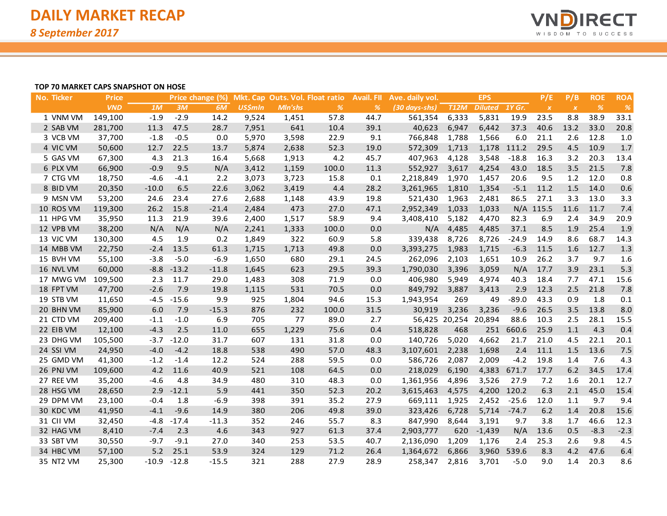

#### **TOP 70 MARKET CAPS SNAPSHOT ON HOSE**

| No. Ticker | <b>Price</b> |         |         | Price change (%) |                |         | Mkt. Cap Outs. Vol. Float ratio | <b>Avail. FII</b> | Ave. daily vol.                  |               | <b>EPS</b>     |             | P/E              | P/B              | <b>ROE</b> | <b>ROA</b> |
|------------|--------------|---------|---------|------------------|----------------|---------|---------------------------------|-------------------|----------------------------------|---------------|----------------|-------------|------------------|------------------|------------|------------|
|            | <b>VND</b>   | 1M      | 3M      | 6M               | <b>US\$mln</b> | Mln'shs | $\%$                            | $\frac{9}{6}$     | $(30 \text{ days} - \text{shs})$ | <b>T12M</b>   | <b>Diluted</b> | 1Y Gr.      | $\boldsymbol{X}$ | $\boldsymbol{X}$ | $\%$       | $\%$       |
| 1 VNM VM   | 149,100      | $-1.9$  | $-2.9$  | 14.2             | 9,524          | 1,451   | 57.8                            | 44.7              | 561,354                          | 6,333         | 5,831          | 19.9        | 23.5             | 8.8              | 38.9       | 33.1       |
| 2 SAB VM   | 281,700      | 11.3    | 47.5    | 28.7             | 7,951          | 641     | 10.4                            | 39.1              | 40,623                           | 6,947         | 6,442          | 37.3        | 40.6             | 13.2             | 33.0       | 20.8       |
| 3 VCB VM   | 37,700       | $-1.8$  | $-0.5$  | 0.0              | 5,970          | 3,598   | 22.9                            | 9.1               | 766,848                          | 1,788         | 1,566          | 6.0         | 21.1             | 2.6              | 12.8       | 1.0        |
| 4 VIC VM   | 50,600       | 12.7    | 22.5    | 13.7             | 5,874          | 2,638   | 52.3                            | 19.0              | 572,309                          | 1,713         |                | 1,178 111.2 | 29.5             | 4.5              | 10.9       | 1.7        |
| 5 GAS VM   | 67,300       | 4.3     | 21.3    | 16.4             | 5,668          | 1,913   | 4.2                             | 45.7              | 407,963                          | 4,128         | 3,548          | $-18.8$     | 16.3             | 3.2              | 20.3       | 13.4       |
| 6 PLX VM   | 66,900       | $-0.9$  | 9.5     | N/A              | 3,412          | 1,159   | 100.0                           | 11.3              | 552,927                          | 3,617         | 4,254          | 43.0        | 18.5             | 3.5              | 21.5       | 7.8        |
| 7 CTG VM   | 18,750       | $-4.6$  | $-4.1$  | 2.2              | 3,073          | 3,723   | 15.8                            | 0.1               | 2,218,849                        | 1,970         | 1,457          | 20.6        | 9.5              | 1.2              | 12.0       | 0.8        |
| 8 BID VM   | 20,350       | $-10.0$ | 6.5     | 22.6             | 3,062          | 3,419   | 4.4                             | 28.2              | 3,261,965                        | 1,810         | 1,354          | $-5.1$      | 11.2             | 1.5              | 14.0       | 0.6        |
| 9 MSN VM   | 53,200       | 24.6    | 23.4    | 27.6             | 2,688          | 1,148   | 43.9                            | 19.8              | 521,430                          | 1,963         | 2,481          | 86.5        | 27.1             | 3.3              | 13.0       | 3.3        |
| 10 ROS VM  | 119,300      | 26.2    | 15.8    | $-21.4$          | 2,484          | 473     | 27.0                            | 47.1              | 2,952,349                        | 1,033         | 1,033          |             | $N/A$ 115.5      | 11.6             | 11.7       | 7.4        |
| 11 HPG VM  | 35,950       | 11.3    | 21.9    | 39.6             | 2,400          | 1,517   | 58.9                            | 9.4               | 3,408,410                        | 5,182         | 4,470          | 82.3        | 6.9              | 2.4              | 34.9       | 20.9       |
| 12 VPB VM  | 38,200       | N/A     | N/A     | N/A              | 2,241          | 1,333   | 100.0                           | 0.0               | N/A                              | 4,485         | 4,485          | 37.1        | 8.5              | 1.9              | 25.4       | 1.9        |
| 13 VJC VM  | 130,300      | 4.5     | 1.9     | 0.2              | 1,849          | 322     | 60.9                            | 5.8               | 339,438                          | 8,726         | 8,726          | $-24.9$     | 14.9             | 8.6              | 68.7       | 14.3       |
| 14 MBB VM  | 22,750       | $-2.4$  | 13.5    | 61.3             | 1,715          | 1,713   | 49.8                            | 0.0               | 3,393,275                        | 1,983         | 1,715          | $-6.3$      | 11.5             | 1.6              | 12.7       | 1.3        |
| 15 BVH VM  | 55,100       | $-3.8$  | $-5.0$  | $-6.9$           | 1,650          | 680     | 29.1                            | 24.5              | 262,096                          | 2,103         | 1,651          | 10.9        | 26.2             | 3.7              | 9.7        | 1.6        |
| 16 NVL VM  | 60,000       | $-8.8$  | $-13.2$ | $-11.8$          | 1,645          | 623     | 29.5                            | 39.3              | 1,790,030                        | 3,396         | 3,059          | N/A         | 17.7             | 3.9              | 23.1       | 5.3        |
| 17 MWG VM  | 109,500      | 2.3     | 11.7    | 29.0             | 1,483          | 308     | 71.9                            | 0.0               | 406,980                          | 5,949         | 4,974          | 40.3        | 18.4             | 7.7              | 47.1       | 15.6       |
| 18 FPT VM  | 47,700       | $-2.6$  | 7.9     | 19.8             | 1,115          | 531     | 70.5                            | 0.0               | 849,792                          | 3,887         | 3,413          | 2.9         | 12.3             | 2.5              | 21.8       | 7.8        |
| 19 STB VM  | 11,650       | $-4.5$  | $-15.6$ | 9.9              | 925            | 1,804   | 94.6                            | 15.3              | 1,943,954                        | 269           | 49             | $-89.0$     | 43.3             | 0.9              | 1.8        | 0.1        |
| 20 BHN VM  | 85,900       | 6.0     | 7.9     | $-15.3$          | 876            | 232     | 100.0                           | 31.5              | 30,919                           | 3,236         | 3,236          | $-9.6$      | 26.5             | 3.5              | 13.8       | 8.0        |
| 21 CTD VM  | 209,400      | $-1.1$  | $-1.0$  | 6.9              | 705            | 77      | 89.0                            | 2.7               |                                  | 56,425 20,254 | 20,894         | 88.6        | 10.3             | 2.5              | 28.1       | 15.5       |
| 22 EIB VM  | 12,100       | $-4.3$  | 2.5     | 11.0             | 655            | 1,229   | 75.6                            | 0.4               | 518,828                          | 468           | 251            | 660.6       | 25.9             | 1.1              | 4.3        | 0.4        |
| 23 DHG VM  | 105,500      | $-3.7$  | $-12.0$ | 31.7             | 607            | 131     | 31.8                            | 0.0               | 140,726                          | 5,020         | 4,662          | 21.7        | 21.0             | 4.5              | 22.1       | 20.1       |
| 24 SSI VM  | 24,950       | $-4.0$  | $-4.2$  | 18.8             | 538            | 490     | 57.0                            | 48.3              | 3,107,601                        | 2,238         | 1,698          | 2.4         | 11.1             | 1.5              | 13.6       | 7.5        |
| 25 GMD VM  | 41,300       | $-1.2$  | $-1.4$  | 12.2             | 524            | 288     | 59.5                            | 0.0               | 586,726                          | 2,087         | 2,009          | $-4.2$      | 19.8             | 1.4              | 7.6        | 4.3        |
| 26 PNJ VM  | 109,600      | 4.2     | 11.6    | 40.9             | 521            | 108     | 64.5                            | 0.0               | 218,029                          | 6,190         | 4,383          | 671.7       | 17.7             | 6.2              | 34.5       | 17.4       |
| 27 REE VM  | 35,200       | $-4.6$  | 4.8     | 34.9             | 480            | 310     | 48.3                            | 0.0               | 1,361,956                        | 4,896         | 3,526          | 27.9        | 7.2              | 1.6              | 20.1       | 12.7       |
| 28 HSG VM  | 28,650       | 2.9     | $-12.1$ | 5.9              | 441            | 350     | 52.3                            | 20.2              | 3,615,463                        | 4,575         |                | 4,200 120.2 | 6.3              | 2.1              | 45.0       | 15.4       |
| 29 DPM VM  | 23,100       | $-0.4$  | 1.8     | $-6.9$           | 398            | 391     | 35.2                            | 27.9              | 669,111                          | 1,925         | 2,452          | $-25.6$     | 12.0             | 1.1              | 9.7        | 9.4        |
| 30 KDC VM  | 41,950       | $-4.1$  | $-9.6$  | 14.9             | 380            | 206     | 49.8                            | 39.0              | 323,426                          | 6,728         | 5,714          | $-74.7$     | 6.2              | 1.4              | 20.8       | 15.6       |
| 31 CII VM  | 32,450       | $-4.8$  | $-17.4$ | $-11.3$          | 352            | 246     | 55.7                            | 8.3               | 847,990                          | 8,644         | 3,191          | 9.7         | 3.8              | 1.7              | 46.6       | 12.3       |
| 32 HAG VM  | 8,410        | $-7.4$  | 2.3     | 4.6              | 343            | 927     | 61.3                            | 37.4              | 2,903,777                        | 620           | $-1,439$       | N/A         | 13.6             | 0.5              | $-8.3$     | $-2.3$     |
| 33 SBT VM  | 30,550       | $-9.7$  | $-9.1$  | 27.0             | 340            | 253     | 53.5                            | 40.7              | 2,136,090                        | 1,209         | 1,176          | 2.4         | 25.3             | 2.6              | 9.8        | 4.5        |
| 34 HBC VM  | 57,100       | 5.2     | 25.1    | 53.9             | 324            | 129     | 71.2                            | 26.4              | 1,364,672                        | 6,866         | 3,960          | 539.6       | 8.3              | 4.2              | 47.6       | 6.4        |
| 35 NT2 VM  | 25,300       | $-10.9$ | $-12.8$ | $-15.5$          | 321            | 288     | 27.9                            | 28.9              | 258,347                          | 2,816         | 3,701          | $-5.0$      | 9.0              | 1.4              | 20.3       | 8.6        |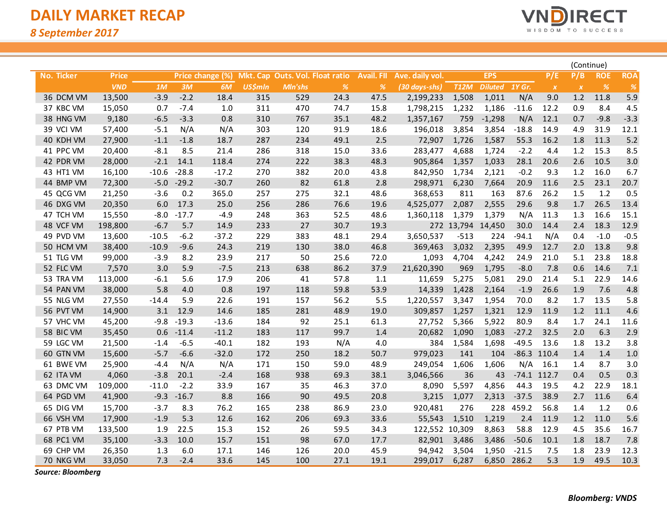*8 September 2017*



|                   |              |         |         |                  |                |         |                                 |                   |                 |                   |                |               |                  |                  | (Continue) |            |
|-------------------|--------------|---------|---------|------------------|----------------|---------|---------------------------------|-------------------|-----------------|-------------------|----------------|---------------|------------------|------------------|------------|------------|
| <b>No. Ticker</b> | <b>Price</b> |         |         | Price change (%) |                |         | Mkt. Cap Outs. Vol. Float ratio | <b>Avail. FII</b> | Ave. daily vol. |                   | <b>EPS</b>     |               | P/E              | P/B              | <b>ROE</b> | <b>ROA</b> |
|                   | <b>VND</b>   | 1M      | 3M      | 6M               | <b>US\$mln</b> | Mln'shs | $\%$                            | %                 | (30 days-shs)   | <b>T12M</b>       | <b>Diluted</b> | <b>1Y Gr.</b> | $\boldsymbol{X}$ | $\boldsymbol{X}$ | $\%$       | $\%$       |
| 36 DCM VM         | 13,500       | $-3.9$  | $-2.2$  | 18.4             | 315            | 529     | 24.3                            | 47.5              | 2,199,233       | 1,508             | 1,011          | N/A           | 9.0              | 1.2              | 11.8       | 5.9        |
| 37 KBC VM         | 15,050       | 0.7     | $-7.4$  | 1.0              | 311            | 470     | 74.7                            | 15.8              | 1,798,215       | 1,232             | 1,186          | $-11.6$       | 12.2             | 0.9              | 8.4        | 4.5        |
| 38 HNG VM         | 9,180        | $-6.5$  | $-3.3$  | 0.8              | 310            | 767     | 35.1                            | 48.2              | 1,357,167       | 759               | $-1,298$       | N/A           | 12.1             | 0.7              | $-9.8$     | $-3.3$     |
| 39 VCI VM         | 57,400       | $-5.1$  | N/A     | N/A              | 303            | 120     | 91.9                            | 18.6              | 196,018         | 3,854             | 3,854          | $-18.8$       | 14.9             | 4.9              | 31.9       | 12.1       |
| 40 KDH VM         | 27,900       | $-1.1$  | $-1.8$  | 18.7             | 287            | 234     | 49.1                            | 2.5               | 72,907          | 1,726             | 1,587          | 55.3          | 16.2             | 1.8              | 11.3       | $5.2$      |
| 41 PPC VM         | 20,400       | $-8.1$  | 8.5     | 21.4             | 286            | 318     | 15.0                            | 33.6              | 283,477         | 4,688             | 1,724          | $-2.2$        | 4.4              | 1.2              | 15.3       | 8.5        |
| 42 PDR VM         | 28,000       | $-2.1$  | 14.1    | 118.4            | 274            | 222     | 38.3                            | 48.3              | 905,864         | 1,357             | 1,033          | 28.1          | 20.6             | 2.6              | 10.5       | 3.0        |
| 43 HT1 VM         | 16,100       | $-10.6$ | $-28.8$ | $-17.2$          | 270            | 382     | 20.0                            | 43.8              | 842,950         | 1,734             | 2,121          | $-0.2$        | 9.3              | 1.2              | 16.0       | 6.7        |
| 44 BMP VM         | 72,300       | $-5.0$  | $-29.2$ | $-30.7$          | 260            | 82      | 61.8                            | 2.8               | 298,971         | 6,230             | 7,664          | 20.9          | 11.6             | 2.5              | 23.1       | 20.7       |
| 45 QCG VM         | 21,250       | $-3.6$  | 0.2     | 365.0            | 257            | 275     | 32.1                            | 48.6              | 368,653         | 811               | 163            | 87.6          | 26.2             | 1.5              | 1.2        | 0.5        |
| 46 DXG VM         | 20,350       | 6.0     | 17.3    | 25.0             | 256            | 286     | 76.6                            | 19.6              | 4,525,077       | 2,087             | 2,555          | 29.6          | 9.8              | 1.7              | 26.5       | 13.4       |
| 47 TCH VM         | 15,550       | $-8.0$  | $-17.7$ | $-4.9$           | 248            | 363     | 52.5                            | 48.6              | 1,360,118       | 1,379             | 1,379          | N/A           | 11.3             | 1.3              | 16.6       | 15.1       |
| 48 VCF VM         | 198,800      | $-6.7$  | 5.7     | 14.9             | 233            | 27      | 30.7                            | 19.3              |                 | 272 13,794 14,450 |                | 30.0          | 14.4             | 2.4              | 18.3       | 12.9       |
| 49 PVD VM         | 13,600       | $-10.5$ | $-6.2$  | $-37.2$          | 229            | 383     | 48.1                            | 29.4              | 3,650,537       | $-513$            | 224            | $-94.1$       | N/A              | 0.4              | $-1.0$     | $-0.5$     |
| 50 HCM VM         | 38,400       | $-10.9$ | $-9.6$  | 24.3             | 219            | 130     | 38.0                            | 46.8              | 369,463         | 3,032             | 2,395          | 49.9          | 12.7             | 2.0              | 13.8       | 9.8        |
| 51 TLG VM         | 99,000       | $-3.9$  | 8.2     | 23.9             | 217            | 50      | 25.6                            | 72.0              | 1,093           | 4,704             | 4,242          | 24.9          | 21.0             | 5.1              | 23.8       | 18.8       |
| 52 FLC VM         | 7,570        | 3.0     | 5.9     | $-7.5$           | 213            | 638     | 86.2                            | 37.9              | 21,620,390      | 969               | 1,795          | $-8.0$        | 7.8              | 0.6              | 14.6       | 7.1        |
| 53 TRA VM         | 113,000      | $-6.1$  | 5.6     | 17.9             | 206            | 41      | 57.8                            | 1.1               | 11,659          | 5,275             | 5,081          | 29.0          | 21.4             | 5.1              | 22.9       | 14.6       |
| 54 PAN VM         | 38,000       | 5.8     | 4.0     | 0.8              | 197            | 118     | 59.8                            | 53.9              | 14,339          | 1,428             | 2,164          | $-1.9$        | 26.6             | 1.9              | 7.6        | 4.8        |
| 55 NLG VM         | 27,550       | $-14.4$ | 5.9     | 22.6             | 191            | 157     | 56.2                            | 5.5               | 1,220,557       | 3,347             | 1,954          | 70.0          | 8.2              | 1.7              | 13.5       | 5.8        |
| 56 PVT VM         | 14,900       | 3.1     | 12.9    | 14.6             | 185            | 281     | 48.9                            | 19.0              | 309,857         | 1,257             | 1,321          | 12.9          | 11.9             | 1.2              | 11.1       | 4.6        |
| 57 VHC VM         | 45,200       | $-9.8$  | $-19.3$ | $-13.6$          | 184            | 92      | 25.1                            | 61.3              | 27,752          | 5,366             | 5,922          | 80.9          | 8.4              | 1.7              | 24.1       | 11.6       |
| 58 BIC VM         | 35,450       | 0.6     | $-11.4$ | $-11.2$          | 183            | 117     | 99.7                            | 1.4               | 20,682          | 1,090             | 1,083          | $-27.2$       | 32.5             | 2.0              | 6.3        | 2.9        |
| 59 LGC VM         | 21,500       | $-1.4$  | $-6.5$  | $-40.1$          | 182            | 193     | N/A                             | 4.0               | 384             | 1,584             | 1,698          | $-49.5$       | 13.6             | 1.8              | 13.2       | 3.8        |
| 60 GTN VM         | 15,600       | $-5.7$  | $-6.6$  | $-32.0$          | 172            | 250     | 18.2                            | 50.7              | 979,023         | 141               | 104            | $-86.3$       | 110.4            | 1.4              | 1.4        | $1.0$      |
| 61 BWE VM         | 25,900       | $-4.4$  | N/A     | N/A              | 171            | 150     | 59.0                            | 48.9              | 249,054         | 1,606             | 1,606          | N/A           | 16.1             | 1.4              | 8.7        | 3.0        |
| 62 ITA VM         | 4,060        | $-3.8$  | 20.1    | $-2.4$           | 168            | 938     | 69.3                            | 38.1              | 3,046,566       | 36                | 43             |               | $-74.1$ 112.7    | 0.4              | 0.5        | 0.3        |
| 63 DMC VM         | 109,000      | $-11.0$ | $-2.2$  | 33.9             | 167            | 35      | 46.3                            | 37.0              | 8,090           | 5,597             | 4,856          | 44.3          | 19.5             | 4.2              | 22.9       | 18.1       |
| 64 PGD VM         | 41,900       | $-9.3$  | $-16.7$ | 8.8              | 166            | 90      | 49.5                            | 20.8              | 3,215           | 1,077             | 2,313          | $-37.5$       | 38.9             | 2.7              | 11.6       | 6.4        |
| 65 DIG VM         | 15,700       | $-3.7$  | 8.3     | 76.2             | 165            | 238     | 86.9                            | 23.0              | 920,481         | 276               | 228            | 459.2         | 56.8             | 1.4              | $1.2$      | 0.6        |
| 66 VSH VM         | 17,900       | $-1.9$  | 5.3     | 12.6             | 162            | 206     | 69.3                            | 33.6              | 55,543          | 1,510             | 1,219          | 2.4           | 11.9             | 1.2              | 11.0       | 5.6        |
| 67 PTB VM         | 133,500      | 1.9     | 22.5    | 15.3             | 152            | 26      | 59.5                            | 34.3              | 122,552 10,309  |                   | 8,863          | 58.8          | 12.9             | 4.5              | 35.6       | 16.7       |
| 68 PC1 VM         | 35,100       | $-3.3$  | 10.0    | 15.7             | 151            | 98      | 67.0                            | 17.7              | 82,901          | 3,486             | 3,486          | $-50.6$       | 10.1             | 1.8              | 18.7       | 7.8        |
| 69 CHP VM         | 26,350       | 1.3     | 6.0     | 17.1             | 146            | 126     | 20.0                            | 45.9              | 94,942          | 3,504             | 1,950          | $-21.5$       | 7.5              | 1.8              | 23.9       | 12.3       |
| 70 NKG VM         | 33,050       | 7.3     | $-2.4$  | 33.6             | 145            | 100     | 27.1                            | 19.1              | 299,017         | 6,287             |                | 6,850 286.2   | 5.3              | 1.9              | 49.5       | 10.3       |

*Source: Bloomberg*